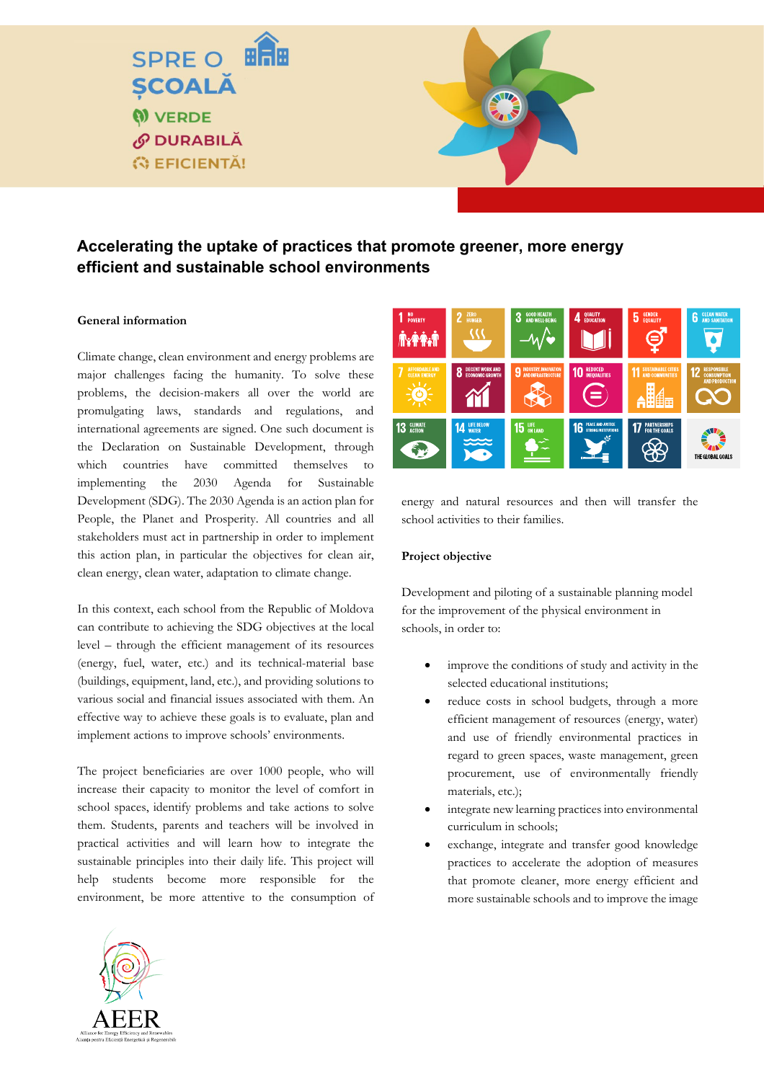

# **Accelerating the uptake of practices that promote greener, more energy efficient and sustainable school environments**

## **General information**

Climate change, clean environment and energy problems are major challenges facing the humanity. To solve these problems, the decision-makers all over the world are promulgating laws, standards and regulations, and international agreements are signed. One such document is the Declaration on Sustainable Development, through which countries have committed themselves to implementing the 2030 Agenda for Sustainable Development (SDG). The 2030 Agenda is an action plan for People, the Planet and Prosperity. All countries and all stakeholders must act in partnership in order to implement this action plan, in particular the objectives for clean air, clean energy, clean water, adaptation to climate change.

In this context, each school from the Republic of Moldova can contribute to achieving the SDG objectives at the local level – through the efficient management of its resources (energy, fuel, water, etc.) and its technical-material base (buildings, equipment, land, etc.), and providing solutions to various social and financial issues associated with them. An effective way to achieve these goals is to evaluate, plan and implement actions to improve schools' environments.

The project beneficiaries are over 1000 people, who will increase their capacity to monitor the level of comfort in school spaces, identify problems and take actions to solve them. Students, parents and teachers will be involved in practical activities and will learn how to integrate the sustainable principles into their daily life. This project will help students become more responsible for the environment, be more attentive to the consumption of



energy and natural resources and then will transfer the school activities to their families.

### **Project objective**

Development and piloting of a sustainable planning model for the improvement of the physical environment in schools, in order to:

- improve the conditions of study and activity in the selected educational institutions;
- reduce costs in school budgets, through a more efficient management of resources (energy, water) and use of friendly environmental practices in regard to green spaces, waste management, green procurement, use of environmentally friendly materials, etc.);
- integrate new learning practices into environmental curriculum in schools;
- exchange, integrate and transfer good knowledge practices to accelerate the adoption of measures that promote cleaner, more energy efficient and more sustainable schools and to improve the image